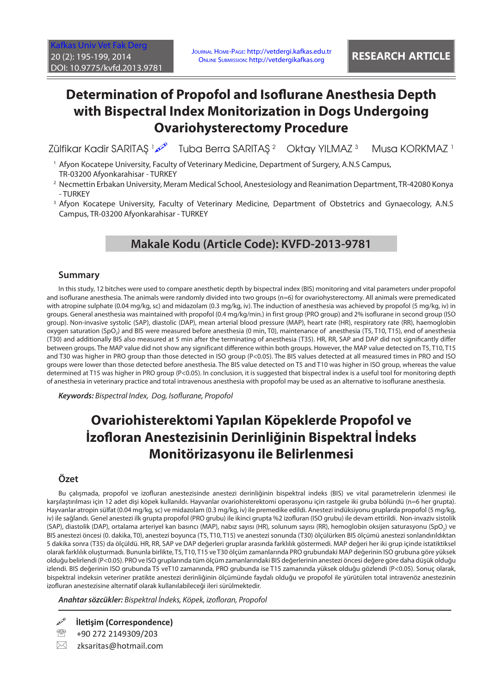# **Determination of Propofol and Isoflurane Anesthesia Depth with Bispectral Index Monitorization in Dogs Undergoing Ovariohysterectomy Procedure**

Zülfikar Kadir SARITAŞ 1 �� Tuba Berra SARITAŞ <sup>2 </sup> Oktay YILMAZ 3 Musa KORKMAZ<sup>1</sup>

- 1 Afyon Kocatepe University, Faculty of Veterinary Medicine, Department of Surgery, A.N.S Campus, TR-03200 Afyonkarahisar - TURKEY
- 2 Necmettin Erbakan University, Meram Medical School, Anestesiology and Reanimation Department, TR-42080 Konya - TURKEY
- 3 Afyon Kocatepe University, Faculty of Veterinary Medicine, Department of Obstetrics and Gynaecology, A.N.S Campus, TR-03200 Afyonkarahisar - TURKEY

## **Makale Kodu (Article Code): KVFD-2013-9781**

### **Summary**

In this study, 12 bitches were used to compare anesthetic depth by bispectral index (BIS) monitoring and vital parameters under propofol and isoflurane anesthesia. The animals were randomly divided into two groups (n=6) for ovariohysterectomy. All animals were premedicated with atropine sulphate (0.04 mg/kg, sc) and midazolam (0.3 mg/kg, iv). The induction of anesthesia was achieved by propofol (5 mg/kg, iv) in groups. General anesthesia was maintained with propofol (0.4 mg/kg/min.) in first group (PRO group) and 2% isoflurane in second group (ISO group). Non-invasive systolic (SAP), diastolic (DAP), mean arterial blood pressure (MAP), heart rate (HR), respiratory rate (RR), haemoglobin oxygen saturation (SpO2) and BIS were measured before anesthesia (0 min, T0), maintenance of anesthesia (T5, T10, T15), end of anesthesia (T30) and additionally BIS also measured at 5 min after the terminating of anesthesia (T35). HR, RR, SAP and DAP did not significantly differ between groups. The MAP value did not show any significant difference within both groups. However, the MAP value detected on T5, T10, T15 and T30 was higher in PRO group than those detected in ISO group (P<0.05). The BIS values detected at all measured times in PRO and ISO groups were lower than those detected before anesthesia. The BIS value detected on T5 and T10 was higher in ISO group, whereas the value determined at T15 was higher in PRO group (P<0.05). In conclusion, it is suggested that bispectral index is a useful tool for monitoring depth of anesthesia in veterinary practice and total intravenous anesthesia with propofol may be used as an alternative to isoflurane anesthesia.

*Keywords: Bispectral Index, Dog, Isoflurane, Propofol*

# **Ovariohisterektomi Yapılan Köpeklerde Propofol ve İzofloran Anestezisinin Derinliğinin Bispektral İndeks Monitörizasyonu ile Belirlenmesi**

## **Özet**

Bu çalışmada, propofol ve izofluran anestezisinde anestezi derinliğinin bispektral indeks (BIS) ve vital parametrelerin izlenmesi ile karşılaştırılması için 12 adet dişi köpek kullanıldı. Hayvanlar ovariohisterektomi operasyonu için rastgele iki gruba bölündü (n=6 her grupta). Hayvanlar atropin sülfat (0.04 mg/kg, sc) ve midazolam (0.3 mg/kg, iv) ile premedike edildi. Anestezi indüksiyonu gruplarda propofol (5 mg/kg, iv) ile sağlandı. Genel anestezi ilk grupta propofol (PRO grubu) ile ikinci grupta %2 izofluran (ISO grubu) ile devam ettirildi. Non-invaziv sistolik (SAP), diastolik (DAP), ortalama arteriyel kan basıncı (MAP), nabız sayısı (HR), solunum sayısı (RR), hemoglobin oksijen saturasyonu (SpO<sub>2</sub>) ve BIS anestezi öncesi (0. dakika, T0), anestezi boyunca (T5, T10, T15) ve anestezi sonunda (T30) ölçülürken BIS ölçümü anestezi sonlandırıldıktan 5 dakika sonra (T35) da ölçüldü. HR, RR, SAP ve DAP değerleri gruplar arasında farklılık göstermedi. MAP değeri her iki grup içinde istatiktiksel olarak farklılık oluşturmadı. Bununla birlikte, T5, T10, T15 ve T30 ölçüm zamanlarında PRO grubundaki MAP değerinin ISO grubuna göre yüksek olduğu belirlendi (P<0.05). PRO ve ISO gruplarında tüm ölçüm zamanlarındaki BIS değerlerinin anestezi öncesi değere göre daha düşük olduğu izlendi. BIS değerinin ISO grubunda T5 veT10 zamanında, PRO grubunda ise T15 zamanında yüksek olduğu gözlendi (P<0.05). Sonuç olarak, bispektral indeksin veteriner pratikte anestezi derinliğinin ölçümünde faydalı olduğu ve propofol ile yürütülen total intravenöz anestezinin izofluran anestezisine alternatif olarak kullanılabileceği ileri sürülmektedir.

*Anahtar sözcükler: Bispektral İndeks, Köpek, izofloran, Propofol*

**İletişim (Correspondence)**

<sup>2</sup> +90 272 2149309/203

 $\boxtimes$  zksaritas@hotmail.com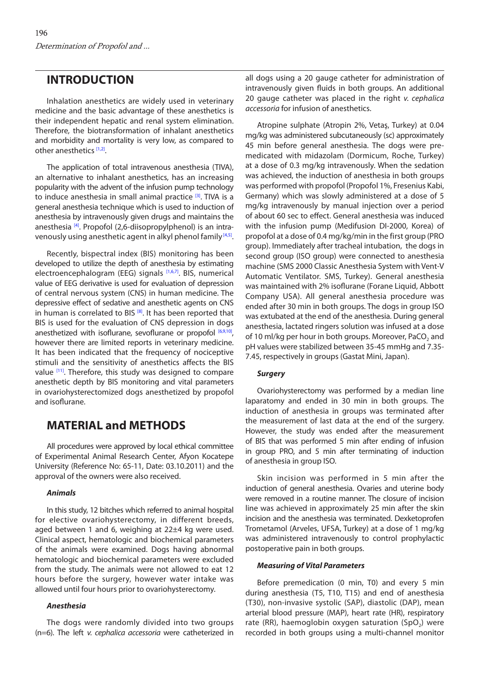## **INTRODUCTION**

Inhalation anesthetics are widely used in veterinary medicine and the basic advantage of these anesthetics is their independent hepatic and renal system elimination. Therefore, the biotransformation of inhalant anesthetics and morbidity and mortality is very low, as compared to other anesthetics [\[1,2\].](#page-4-0)

The application of total intravenous anesthesia (TIVA), an alternative to inhalant anesthetics, has an increasing popularity with the advent of the infusion pump technology to induce anesthesia in small animal practice <sup>[3]</sup>. TIVA is a general anesthesia technique which is used to induction of anesthesia by intravenously given drugs and maintains the anesthesia <sup>[4]</sup>. Propofol (2.6-diisopropylphenol) is an intravenously using anesthetic agent in alkyl phenol family<sup>[4,5]</sup>.

Recently, bispectral index (BIS) monitoring has been developed to utilize the depth of anesthesia by estimating electroencephalogram (EEG) signals [\[1](#page-4-0),[6,7\]](#page-4-0). BIS, numerical value of EEG derivative is used for evaluation of depression of central nervous system (CNS) in human medicine. The depressive effect of sedative and anesthetic agents on CNS in human is correlated to BIS  $[8]$ . It has been reported that BIS is used for the evaluation of CNS depression in dogs anesthetized with isoflurane, sevoflurane or propofol  $[6,9,10]$ , however there are limited reports in veterinary medicine. It has been indicated that the frequency of nociceptive stimuli and the sensitivity of anesthetics affects the BIS value  $[11]$ . Therefore, this study was designed to compare anesthetic depth by BIS monitoring and vital parameters in ovariohysterectomized dogs anesthetized by propofol and isoflurane.

## **MATERIAL and METHODS**

All procedures were approved by local ethical committee of Experimental Animal Research Center, Afyon Kocatepe University (Reference No: 65-11, Date: 03.10.2011) and the approval of the owners were also received.

#### *Animals*

In this study, 12 bitches which referred to animal hospital for elective ovariohysterectomy, in different breeds, aged between 1 and 6, weighing at 22±4 kg were used. Clinical aspect, hematologic and biochemical parameters of the animals were examined. Dogs having abnormal hematologic and biochemical parameters were excluded from the study. The animals were not allowed to eat 12 hours before the surgery, however water intake was allowed until four hours prior to ovariohysterectomy.

#### *Anesthesia*

The dogs were randomly divided into two groups (n=6). The left *v. cephalica accessoria* were catheterized in all dogs using a 20 gauge catheter for administration of intravenously given fluids in both groups. An additional 20 gauge catheter was placed in the right *v. cephalica accessoria* for infusion of anesthetics.

Atropine sulphate (Atropin 2%, Vetaş, Turkey) at 0.04 mg/kg was administered subcutaneously (sc) approximately 45 min before general anesthesia. The dogs were premedicated with midazolam (Dormicum, Roche, Turkey) at a dose of 0.3 mg/kg intravenously. When the sedation was achieved, the induction of anesthesia in both groups was performed with propofol (Propofol 1%, Fresenius Kabi, Germany) which was slowly administered at a dose of 5 mg/kg intravenously by manual injection over a period of about 60 sec to effect. General anesthesia was induced with the infusion pump (Medifusion DI-2000, Korea) of propofol at a dose of 0.4 mg/kg/min in the first group (PRO group). Immediately after tracheal intubation, the dogs in second group (ISO group) were connected to anesthesia machine (SMS 2000 Classic Anesthesia System with Vent-V Automatic Ventilator. SMS, Turkey). General anesthesia was maintained with 2% isoflurane (Forane Liquid, Abbott Company USA). All general anesthesia procedure was ended after 30 min in both groups. The dogs in group ISO was extubated at the end of the anesthesia. During general anesthesia, lactated ringers solution was infused at a dose of 10 ml/kg per hour in both groups. Moreover, PaCO<sub>2</sub> and pH values were stabilized between 35-45 mmHg and 7.35- 7.45, respectively in groups (Gastat Mini, Japan).

### *Surgery*

Ovariohysterectomy was performed by a median line laparatomy and ended in 30 min in both groups. The induction of anesthesia in groups was terminated after the measurement of last data at the end of the surgery. However, the study was ended after the measurement of BIS that was performed 5 min after ending of infusion in group PRO, and 5 min after terminating of induction of anesthesia in group ISO.

Skin incision was performed in 5 min after the induction of general anesthesia. Ovaries and uterine body were removed in a routine manner. The closure of incision line was achieved in approximately 25 min after the skin incision and the anesthesia was terminated. Dexketoprofen Trometamol (Arveles, UFSA, Turkey) at a dose of 1 mg/kg was administered intravenously to control prophylactic postoperative pain in both groups.

#### *Measuring of Vital Parameters*

Before premedication (0 min, T0) and every 5 min during anesthesia (T5, T10, T15) and end of anesthesia (T30), non-invasive systolic (SAP), diastolic (DAP), mean arterial blood pressure (MAP), heart rate (HR), respiratory rate (RR), haemoglobin oxygen saturation (SpO<sub>2</sub>) were recorded in both groups using a multi-channel monitor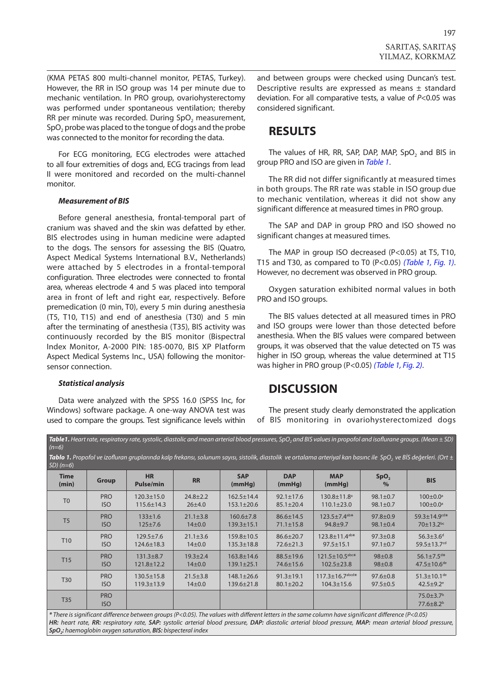(KMA PETAS 800 multi-channel monitor, PETAS, Turkey). However, the RR in ISO group was 14 per minute due to mechanic ventilation. In PRO group, ovariohysterectomy was performed under spontaneous ventilation; thereby RR per minute was recorded. During SpO<sub>2</sub> measurement, SpO<sub>2</sub> probe was placed to the tongue of dogs and the probe was connected to the monitor for recording the data.

For ECG monitoring, ECG electrodes were attached to all four extremities of dogs and, ECG tracings from lead II were monitored and recorded on the multi-channel monitor.

#### *Measurement of BIS*

Before general anesthesia, frontal-temporal part of cranium was shaved and the skin was defatted by ether. BIS electrodes using in human medicine were adapted to the dogs. The sensors for assessing the BIS (Quatro, Aspect Medical Systems International B.V., Netherlands) were attached by 5 electrodes in a frontal-temporal configuration. Three electrodes were connected to frontal area, whereas electrode 4 and 5 was placed into temporal area in front of left and right ear, respectively. Before premedication (0 min, T0), every 5 min during anesthesia (T5, T10, T15) and end of anesthesia (T30) and 5 min after the terminating of anesthesia (T35), BIS activity was continuously recorded by the BIS monitor (Bispectral Index Monitor, A-2000 PIN: 185-0070, BIS XP Platform Aspect Medical Systems Inc., USA) following the monitorsensor connection.

#### *Statistical analysis*

Data were analyzed with the SPSS 16.0 (SPSS Inc, for Windows) software package. A one-way ANOVA test was used to compare the groups. Test significance levels within

and between groups were checked using Duncan's test. Descriptive results are expressed as means ± standard deviation. For all comparative tests, a value of *P*<0.05 was considered significant.

## **RESULTS**

The values of HR, RR, SAP, DAP, MAP, SpO<sub>2</sub> and BIS in group PRO and ISO are given in *Table 1*.

The RR did not differ significantly at measured times in both groups. The RR rate was stable in ISO group due to mechanic ventilation, whereas it did not show any significant difference at measured times in PRO group.

The SAP and DAP in group PRO and ISO showed no significant changes at measured times.

The MAP in group ISO decreased (P<0.05) at T5, T10, T15 and T30, as compared to T0 (P<0.05) *(Table 1, [Fig. 1\)](#page-3-0)*. However, no decrement was observed in PRO group.

Oxygen saturation exhibited normal values in both PRO and ISO groups.

The BIS values detected at all measured times in PRO and ISO groups were lower than those detected before anesthesia. When the BIS values were compared between groups, it was observed that the value detected on T5 was higher in ISO group, whereas the value determined at T15 was higher in PRO group (P<0.05) *(Table 1, [Fig. 2\)](#page-3-0)*.

## **DISCUSSION**

The present study clearly demonstrated the application of BIS monitoring in ovariohysterectomized dogs

**Table1.** Heart rate, respiratory rate, systolic, diastolic and mean arterial blood pressures, SpO, and BIS values in propofol and isoflurane groups. (Mean  $\pm$  SD) *(n=6)*

Tablo 1. Propofol ve izofluran gruplarında kalp frekansı, solunum sayısı, sistolik, diastolik ve ortalama arteriyal kan basınc ile SpO<sub>2</sub> ve BİS değerleri. (Ort ±

| $SD($ $n=6)$         |                          |                               |                |                      |                      |                                   |                                   |                                                            |
|----------------------|--------------------------|-------------------------------|----------------|----------------------|----------------------|-----------------------------------|-----------------------------------|------------------------------------------------------------|
| <b>Time</b><br>(min) | <b>Group</b>             | <b>HR</b><br><b>Pulse/min</b> | <b>RR</b>      | <b>SAP</b><br>(mmHg) | <b>DAP</b><br>(mmHg) | <b>MAP</b><br>(mmHg)              | SpO <sub>2</sub><br>$\frac{9}{6}$ | <b>BIS</b>                                                 |
| T <sub>0</sub>       | <b>PRO</b>               | $120.3 \pm 15.0$              | $24.8 \pm 2.2$ | $162.5 \pm 14.4$     | $92.1 \pm 17.6$      | 130.8±11.8 <sup>a</sup>           | $98.1 \pm 0.7$                    | $100 \pm 0.0^{\circ}$                                      |
|                      | <b>ISO</b>               | $115.6 \pm 14.3$              | 26±4.0         | $153.1 \pm 20.6$     | $85.1 \pm 20.4$      | $110.1 \pm 23.0$                  | $98.1 \pm 0.7$                    | $100 \pm 0.0^{\circ}$                                      |
| T <sub>5</sub>       | <b>PRO</b>               | $133 \pm 1.6$                 | $21.1 \pm 3.8$ | $160.6 \pm 7.8$      | $86.6 \pm 14.5$      | $123.5 + 7.4$ ab*                 | $97.8 \pm 0.9$                    | $59.3 \pm 14.9$ <sup>cd*</sup>                             |
|                      | <b>ISO</b>               | $125 \pm 7.6$                 | $14\pm0.0$     | $139.3 \pm 15.1$     | $71.1 \pm 15.8$      | $94.8 + 9.7$                      | $98.1 \pm 0.4$                    | 70±13.2 <sup>bc</sup>                                      |
| T <sub>10</sub>      | <b>PRO</b>               | $129.5 + 7.6$                 | $21.1 \pm 3.6$ | $159.8 \pm 10.5$     | $86.6 \pm 20.7$      | $123.8 \pm 11.4$ <sup>ab*</sup>   | $97.3 \pm 0.8$                    | $56.3 \pm 3.6$ <sup>d</sup>                                |
|                      | <b>ISO</b>               | $124.6 \pm 18.3$              | $14\pm0.0$     | $135.3 \pm 18.8$     | $72.6 \pm 21.3$      | $97.5 \pm 15.1$                   | $97.1 \pm 0.7$                    | $59.5 \pm 13.7$ <sup>cd</sup>                              |
| T <sub>15</sub>      | <b>PRO</b>               | $131.3 + 8.7$                 | $19.3 + 2.4$   | 163.8±14.6           | $88.5 \pm 19.6$      | $121.5 \pm 10.5$ abc*             | $98 \pm 0.8$                      | $56.1 \pm 7.5$ <sup>d*</sup>                               |
|                      | <b>ISO</b>               | $121.8 \pm 12.2$              | $14\pm0.0$     | $139.1 \pm 25.1$     | $74.6 \pm 15.6$      | $102.5 \pm 23.8$                  | $98 \pm 0.8$                      | $47.5 \pm 10.6$ <sup>de</sup>                              |
| <b>T30</b>           | <b>PRO</b>               | $130.5 \pm 15.8$              | $21.5 \pm 3.8$ | $148.1 \pm 26.6$     | $91.3 \pm 19.1$      | $117.3 \pm 16.7$ <sup>abcd*</sup> | $97.6 \pm 0.8$                    | $51.3 \pm 10.1$ <sup>de</sup>                              |
|                      | <b>ISO</b>               | $119.3 \pm 13.9$              | $14\pm0.0$     | $139.6 \pm 21.8$     | $80.1 \pm 20.2$      | $104.3 \pm 15.6$                  | $97.5 \pm 0.5$                    | $42.5 \pm 9.2$ <sup>e</sup>                                |
| T35                  | <b>PRO</b><br><b>ISO</b> |                               |                |                      |                      |                                   |                                   | $75.0 \pm 3.7$ <sup>b</sup><br>$77.6 \pm 8.2$ <sup>b</sup> |

*\* There is significant difference between groups (P<0.05). The values with different letters in the same column have significant difference (P<0.05) HR: heart rate, RR: respiratory rate, SAP: systolic arterial blood pressure, DAP: diastolic arterial blood pressure, MAP: mean arterial blood pressure, SpO2: haemoglobin oxygen saturation, BIS: bispecteral index*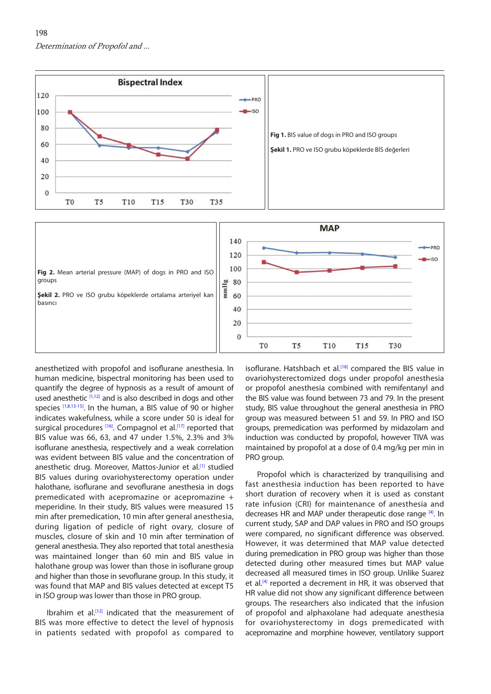<span id="page-3-0"></span>

anesthetized with propofol and isoflurane anesthesia. In human medicine, bispectral monitoring has been used to quantify the degree of hypnosis as a result of amount of used anesthetic [\[1,12\]](#page-4-0) and is also described in dogs and other species [\[1,8,13-15\]](#page-4-0). In the human, a BIS value of 90 or higher indicates wakefulness, while a score under 50 is ideal for surgical procedures [\[16\].](#page-4-0) Compagnol et al.<sup>[17]</sup> reported that BIS value was 66, 63, and 47 under 1.5%, 2.3% and 3% isoflurane anesthesia, respectively and a weak correlation was evident between BIS value and the concentration of anesthetic drug. Moreover, Mattos-Junior et al.<sup>[1]</sup> studied BIS values during ovariohysterectomy operation under halothane, isoflurane and sevoflurane anesthesia in dogs premedicated with acepromazine or acepromazine + meperidine. In their study, BIS values were measured 15 min after premedication, 10 min after general anesthesia, during ligation of pedicle of right ovary, closure of muscles, closure of skin and 10 min after termination of general anesthesia. They also reported that total anesthesia was maintained longer than 60 min and BIS value in halothane group was lower than those in isoflurane group and higher than those in sevoflurane group. In this study, it was found that MAP and BIS values detected at except T5 in ISO group was lower than those in PRO group.

Ibrahim et al.<sup>[12]</sup> indicated that the measurement of BIS was more effective to detect the level of hypnosis in patients sedated with propofol as compared to

isoflurane. Hatshbach et al.<sup>[[18\]](#page-4-0)</sup> compared the BIS value in ovariohysterectomized dogs under propofol anesthesia or propofol anesthesia combined with remifentanyl and the BIS value was found between 73 and 79. In the present study, BIS value throughout the general anesthesia in PRO group was measured between 51 and 59. In PRO and ISO groups, premedication was performed by midazolam and induction was conducted by propofol, however TIVA was maintained by propofol at a dose of 0.4 mg/kg per min in PRO group.

Propofol which is characterized by tranquilising and fast anesthesia induction has been reported to have short duration of recovery when it is used as constant rate infusion (CRI) for maintenance of anesthesia and decreases HR and MAP under therapeutic dose range [\[4\].](#page-4-0) In current study, SAP and DAP values in PRO and ISO groups were compared, no significant difference was observed. However, it was determined that MAP value detected during premedication in PRO group was higher than those detected during other measured times but MAP value decreased all measured times in ISO group. Unlike Suarez et al.<sup>[[4\]](#page-4-0)</sup> reported a decrement in HR, it was observed that HR value did not show any significant difference between groups. The researchers also indicated that the infusion of propofol and alphaxolane had adequate anesthesia for ovariohysterectomy in dogs premedicated with acepromazine and morphine however, ventilatory support